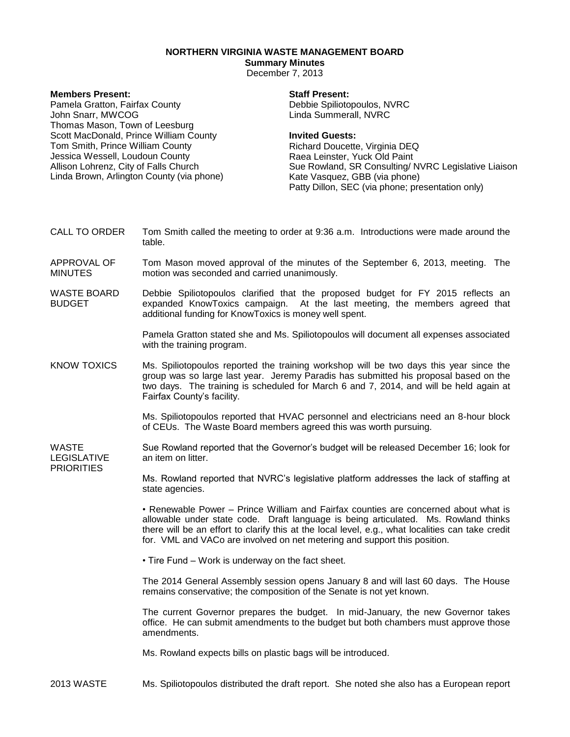## **NORTHERN VIRGINIA WASTE MANAGEMENT BOARD**

## **Summary Minutes**

December 7, 2013

| <b>Members Present:</b><br>Pamela Gratton, Fairfax County<br>John Snarr, MWCOG<br>Thomas Mason, Town of Leesburg<br>Scott MacDonald, Prince William County<br>Tom Smith, Prince William County<br>Jessica Wessell, Loudoun County<br>Allison Lohrenz, City of Falls Church<br>Linda Brown, Arlington County (via phone) |                                                                                                                                                                                                                          | <b>Staff Present:</b><br>Debbie Spiliotopoulos, NVRC<br>Linda Summerall, NVRC                                                                                                                                                                                            |
|-------------------------------------------------------------------------------------------------------------------------------------------------------------------------------------------------------------------------------------------------------------------------------------------------------------------------|--------------------------------------------------------------------------------------------------------------------------------------------------------------------------------------------------------------------------|--------------------------------------------------------------------------------------------------------------------------------------------------------------------------------------------------------------------------------------------------------------------------|
|                                                                                                                                                                                                                                                                                                                         |                                                                                                                                                                                                                          | <b>Invited Guests:</b><br>Richard Doucette, Virginia DEQ<br>Raea Leinster, Yuck Old Paint<br>Sue Rowland, SR Consulting/ NVRC Legislative Liaison<br>Kate Vasquez, GBB (via phone)<br>Patty Dillon, SEC (via phone; presentation only)                                   |
| CALL TO ORDER                                                                                                                                                                                                                                                                                                           | Tom Smith called the meeting to order at 9:36 a.m. Introductions were made around the<br>table.                                                                                                                          |                                                                                                                                                                                                                                                                          |
| APPROVAL OF<br><b>MINUTES</b>                                                                                                                                                                                                                                                                                           | Tom Mason moved approval of the minutes of the September 6, 2013, meeting. The<br>motion was seconded and carried unanimously.                                                                                           |                                                                                                                                                                                                                                                                          |
| <b>WASTE BOARD</b><br><b>BUDGET</b>                                                                                                                                                                                                                                                                                     | Debbie Spiliotopoulos clarified that the proposed budget for FY 2015 reflects an<br>expanded KnowToxics campaign. At the last meeting, the members agreed that<br>additional funding for KnowToxics is money well spent. |                                                                                                                                                                                                                                                                          |
|                                                                                                                                                                                                                                                                                                                         | Pamela Gratton stated she and Ms. Spiliotopoulos will document all expenses associated<br>with the training program.                                                                                                     |                                                                                                                                                                                                                                                                          |
| <b>KNOW TOXICS</b>                                                                                                                                                                                                                                                                                                      | Fairfax County's facility.                                                                                                                                                                                               | Ms. Spiliotopoulos reported the training workshop will be two days this year since the<br>group was so large last year. Jeremy Paradis has submitted his proposal based on the<br>two days. The training is scheduled for March 6 and 7, 2014, and will be held again at |
|                                                                                                                                                                                                                                                                                                                         | Ms. Spiliotopoulos reported that HVAC personnel and electricians need an 8-hour block<br>of CEUs. The Waste Board members agreed this was worth pursuing.                                                                |                                                                                                                                                                                                                                                                          |
| <b>WASTE</b><br><b>LEGISLATIVE</b><br><b>PRIORITIES</b>                                                                                                                                                                                                                                                                 | Sue Rowland reported that the Governor's budget will be released December 16; look for<br>an item on litter.                                                                                                             |                                                                                                                                                                                                                                                                          |
|                                                                                                                                                                                                                                                                                                                         | Ms. Rowland reported that NVRC's legislative platform addresses the lack of staffing at<br>state agencies.                                                                                                               |                                                                                                                                                                                                                                                                          |
|                                                                                                                                                                                                                                                                                                                         |                                                                                                                                                                                                                          | • Penewable Power – Prince William and Fairfox counties are concerned about what is                                                                                                                                                                                      |

ewable Power – Prince William and Fairfax counties are concerned about what is allowable under state code. Draft language is being articulated. Ms. Rowland thinks there will be an effort to clarify this at the local level, e.g., what localities can take credit for. VML and VACo are involved on net metering and support this position.

• Tire Fund – Work is underway on the fact sheet.

The 2014 General Assembly session opens January 8 and will last 60 days. The House remains conservative; the composition of the Senate is not yet known.

The current Governor prepares the budget. In mid-January, the new Governor takes office. He can submit amendments to the budget but both chambers must approve those amendments.

Ms. Rowland expects bills on plastic bags will be introduced.

2013 WASTE Ms. Spiliotopoulos distributed the draft report. She noted she also has a European report